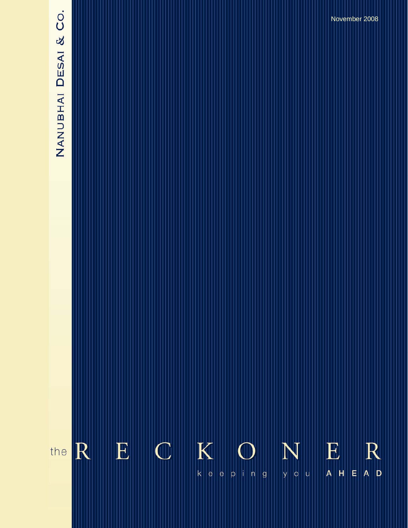# NANUBHAI DESAI & CO.

**The Reckoner….** *keeping you ahead* **August 2008** 

November 2008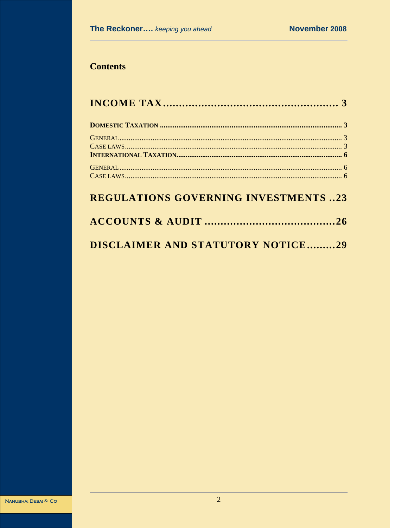# **Contents**

# **REGULATIONS GOVERNING INVESTMENTS ..23**

| DISCLAIMER AND STATUTORY NOTICE29 |  |  |
|-----------------------------------|--|--|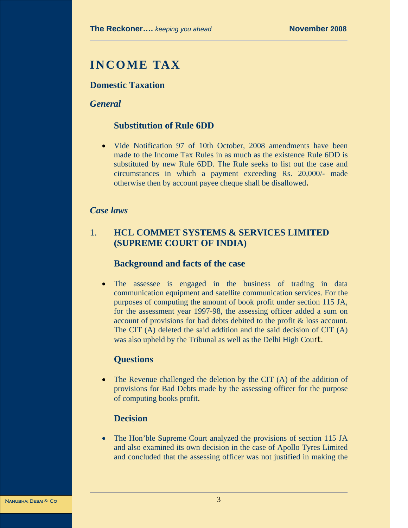# **INCOME TAX**

# **Domestic Taxation**

#### *General*

# **Substitution of Rule 6DD**

• Vide Notification 97 of 10th October, 2008 amendments have been made to the Income Tax Rules in as much as the existence Rule 6DD is substituted by new Rule 6DD. The Rule seeks to list out the case and circumstances in which a payment exceeding Rs. 20,000/- made otherwise then by account payee cheque shall be disallowed.

#### *Case laws*

# 1. **HCL COMMET SYSTEMS & SERVICES LIMITED (SUPREME COURT OF INDIA)**

# **Background and facts of the case**

The assessee is engaged in the business of trading in data communication equipment and satellite communication services. For the purposes of computing the amount of book profit under section 115 JA, for the assessment year 1997-98, the assessing officer added a sum on account of provisions for bad debts debited to the profit & loss account. The CIT (A) deleted the said addition and the said decision of CIT (A) was also upheld by the Tribunal as well as the Delhi High Court.

#### **Questions**

• The Revenue challenged the deletion by the CIT (A) of the addition of provisions for Bad Debts made by the assessing officer for the purpose of computing books profit.

# **Decision**

• The Hon'ble Supreme Court analyzed the provisions of section 115 JA and also examined its own decision in the case of Apollo Tyres Limited and concluded that the assessing officer was not justified in making the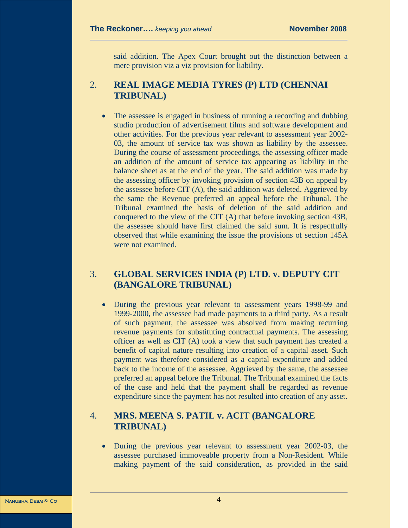said addition. The Apex Court brought out the distinction between a mere provision viz a viz provision for liability.

# 2. **REAL IMAGE MEDIA TYRES (P) LTD (CHENNAI TRIBUNAL)**

The assessee is engaged in business of running a recording and dubbing studio production of advertisement films and software development and other activities. For the previous year relevant to assessment year 2002- 03, the amount of service tax was shown as liability by the assessee. During the course of assessment proceedings, the assessing officer made an addition of the amount of service tax appearing as liability in the balance sheet as at the end of the year. The said addition was made by the assessing officer by invoking provision of section 43B on appeal by the assessee before CIT (A), the said addition was deleted. Aggrieved by the same the Revenue preferred an appeal before the Tribunal. The Tribunal examined the basis of deletion of the said addition and conquered to the view of the CIT (A) that before invoking section 43B, the assessee should have first claimed the said sum. It is respectfully observed that while examining the issue the provisions of section 145A were not examined.

# 3. **GLOBAL SERVICES INDIA (P) LTD. v. DEPUTY CIT (BANGALORE TRIBUNAL)**

• During the previous year relevant to assessment years 1998-99 and 1999-2000, the assessee had made payments to a third party. As a result of such payment, the assessee was absolved from making recurring revenue payments for substituting contractual payments. The assessing officer as well as CIT (A) took a view that such payment has created a benefit of capital nature resulting into creation of a capital asset. Such payment was therefore considered as a capital expenditure and added back to the income of the assessee. Aggrieved by the same, the assessee preferred an appeal before the Tribunal. The Tribunal examined the facts of the case and held that the payment shall be regarded as revenue expenditure since the payment has not resulted into creation of any asset.

# 4. **MRS. MEENA S. PATIL v. ACIT (BANGALORE TRIBUNAL)**

• During the previous year relevant to assessment year 2002-03, the assessee purchased immoveable property from a Non-Resident. While making payment of the said consideration, as provided in the said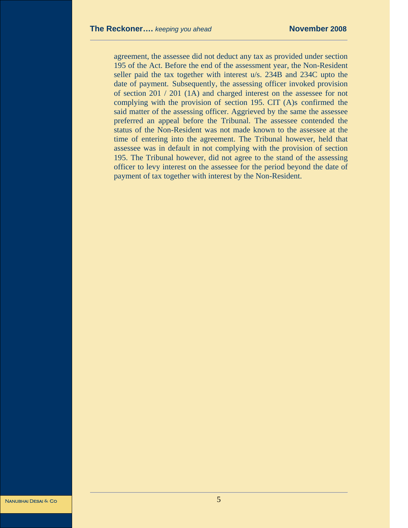agreement, the assessee did not deduct any tax as provided under section 195 of the Act. Before the end of the assessment year, the Non-Resident seller paid the tax together with interest u/s. 234B and 234C upto the date of payment. Subsequently, the assessing officer invoked provision of section 201 / 201 (1A) and charged interest on the assessee for not complying with the provision of section 195. CIT (A)s confirmed the said matter of the assessing officer. Aggrieved by the same the assessee preferred an appeal before the Tribunal. The assessee contended the status of the Non-Resident was not made known to the assessee at the time of entering into the agreement. The Tribunal however, held that assessee was in default in not complying with the provision of section 195. The Tribunal however, did not agree to the stand of the assessing officer to levy interest on the assessee for the period beyond the date of payment of tax together with interest by the Non-Resident.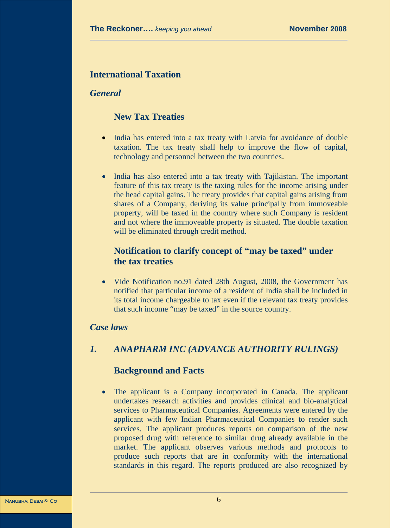# **International Taxation**

# *General*

# **New Tax Treaties**

- India has entered into a tax treaty with Latvia for avoidance of double taxation. The tax treaty shall help to improve the flow of capital, technology and personnel between the two countries.
- India has also entered into a tax treaty with Tajikistan. The important feature of this tax treaty is the taxing rules for the income arising under the head capital gains. The treaty provides that capital gains arising from shares of a Company, deriving its value principally from immoveable property, will be taxed in the country where such Company is resident and not where the immoveable property is situated. The double taxation will be eliminated through credit method.

# **Notification to clarify concept of "may be taxed" under the tax treaties**

• Vide Notification no.91 dated 28th August, 2008, the Government has notified that particular income of a resident of India shall be included in its total income chargeable to tax even if the relevant tax treaty provides that such income "may be taxed" in the source country.

# *Case laws*

# *1. ANAPHARM INC (ADVANCE AUTHORITY RULINGS)*

#### **Background and Facts**

• The applicant is a Company incorporated in Canada. The applicant undertakes research activities and provides clinical and bio-analytical services to Pharmaceutical Companies. Agreements were entered by the applicant with few Indian Pharmaceutical Companies to render such services. The applicant produces reports on comparison of the new proposed drug with reference to similar drug already available in the market. The applicant observes various methods and protocols to produce such reports that are in conformity with the international standards in this regard. The reports produced are also recognized by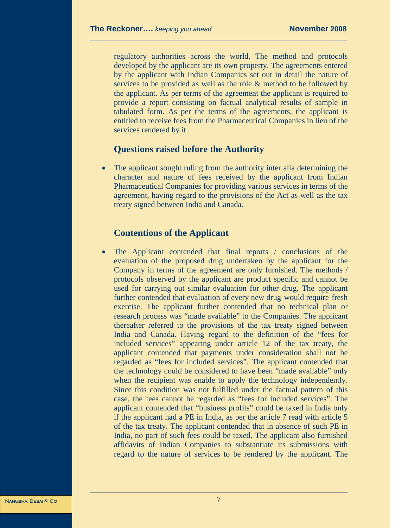regulatory authorities across the world. The method and protocols developed by the applicant are its own property. The agreements entered by the applicant with Indian Companies set out in detail the nature of services to be provided as well as the role & method to be followed by the applicant. As per terms of the agreement the applicant is required to provide a report consisting on factual analytical results of sample in tabulated form. As per the terms of the agreements, the applicant is entitled to receive fees from the Pharmaceutical Companies in lieu of the services rendered by it.

#### **Questions raised before the Authority**

The applicant sought ruling from the authority inter alia determining the character and nature of fees received by the applicant from Indian Pharmaceutical Companies for providing various services in terms of the agreement, having regard to the provisions of the Act as well as the tax treaty signed between India and Canada.

#### **Contentions of the Applicant**

The Applicant contended that final reports / conclusions of the evaluation of the proposed drug undertaken by the applicant for the Company in terms of the agreement are only furnished. The methods / protocols observed by the applicant are product specific and cannot be used for carrying out similar evaluation for other drug. The applicant further contended that evaluation of every new drug would require fresh exercise. The applicant further contended that no technical plan or research process was "made available" to the Companies. The applicant thereafter referred to the provisions of the tax treaty signed between India and Canada. Having regard to the definition of the "fees for included services" appearing under article 12 of the tax treaty, the applicant contended that payments under consideration shall not be regarded as "fees for included services". The applicant contended that the technology could be considered to have been "made available" only when the recipient was enable to apply the technology independently. Since this condition was not fulfilled under the factual pattern of this case, the fees cannot be regarded as "fees for included services". The applicant contended that "business profits" could be taxed in India only if the applicant had a PE in India, as per the article 7 read with article 5 of the tax treaty. The applicant contended that in absence of such PE in India, no part of such fees could be taxed. The applicant also furnished affidavits of Indian Companies to substantiate its submissions with regard to the nature of services to be rendered by the applicant. The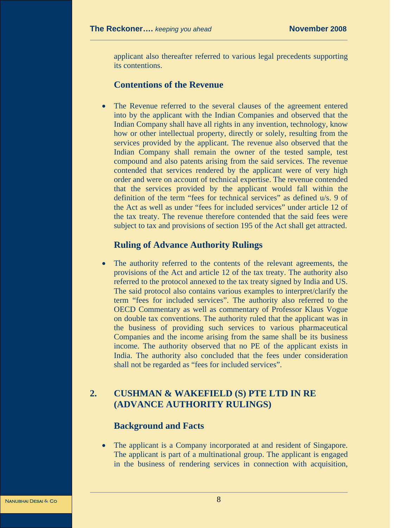applicant also thereafter referred to various legal precedents supporting its contentions.

#### **Contentions of the Revenue**

The Revenue referred to the several clauses of the agreement entered into by the applicant with the Indian Companies and observed that the Indian Company shall have all rights in any invention, technology, know how or other intellectual property, directly or solely, resulting from the services provided by the applicant. The revenue also observed that the Indian Company shall remain the owner of the tested sample, test compound and also patents arising from the said services. The revenue contended that services rendered by the applicant were of very high order and were on account of technical expertise. The revenue contended that the services provided by the applicant would fall within the definition of the term "fees for technical services" as defined u/s. 9 of the Act as well as under "fees for included services" under article 12 of the tax treaty. The revenue therefore contended that the said fees were subject to tax and provisions of section 195 of the Act shall get attracted.

#### **Ruling of Advance Authority Rulings**

The authority referred to the contents of the relevant agreements, the provisions of the Act and article 12 of the tax treaty. The authority also referred to the protocol annexed to the tax treaty signed by India and US. The said protocol also contains various examples to interpret/clarify the term "fees for included services". The authority also referred to the OECD Commentary as well as commentary of Professor Klaus Vogue on double tax conventions. The authority ruled that the applicant was in the business of providing such services to various pharmaceutical Companies and the income arising from the same shall be its business income. The authority observed that no PE of the applicant exists in India. The authority also concluded that the fees under consideration shall not be regarded as "fees for included services".

# **2. CUSHMAN & WAKEFIELD (S) PTE LTD IN RE (ADVANCE AUTHORITY RULINGS)**

# **Background and Facts**

The applicant is a Company incorporated at and resident of Singapore. The applicant is part of a multinational group. The applicant is engaged in the business of rendering services in connection with acquisition,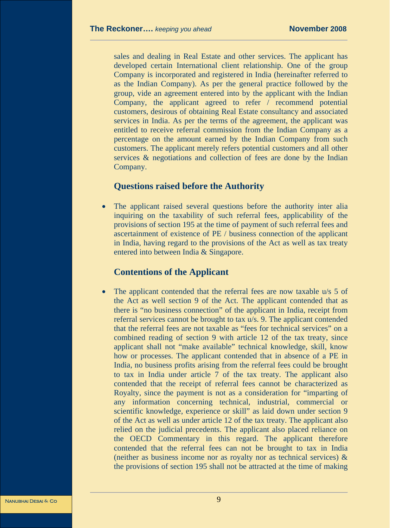sales and dealing in Real Estate and other services. The applicant has developed certain International client relationship. One of the group Company is incorporated and registered in India (hereinafter referred to as the Indian Company). As per the general practice followed by the group, vide an agreement entered into by the applicant with the Indian Company, the applicant agreed to refer / recommend potential customers, desirous of obtaining Real Estate consultancy and associated services in India. As per the terms of the agreement, the applicant was entitled to receive referral commission from the Indian Company as a percentage on the amount earned by the Indian Company from such customers. The applicant merely refers potential customers and all other services & negotiations and collection of fees are done by the Indian Company.

#### **Questions raised before the Authority**

The applicant raised several questions before the authority inter alia inquiring on the taxability of such referral fees, applicability of the provisions of section 195 at the time of payment of such referral fees and ascertainment of existence of PE / business connection of the applicant in India, having regard to the provisions of the Act as well as tax treaty entered into between India & Singapore.

# **Contentions of the Applicant**

• The applicant contended that the referral fees are now taxable u/s 5 of the Act as well section 9 of the Act. The applicant contended that as there is "no business connection" of the applicant in India, receipt from referral services cannot be brought to tax u/s. 9. The applicant contended that the referral fees are not taxable as "fees for technical services" on a combined reading of section 9 with article 12 of the tax treaty, since applicant shall not "make available" technical knowledge, skill, know how or processes. The applicant contended that in absence of a PE in India, no business profits arising from the referral fees could be brought to tax in India under article 7 of the tax treaty. The applicant also contended that the receipt of referral fees cannot be characterized as Royalty, since the payment is not as a consideration for "imparting of any information concerning technical, industrial, commercial or scientific knowledge, experience or skill" as laid down under section 9 of the Act as well as under article 12 of the tax treaty. The applicant also relied on the judicial precedents. The applicant also placed reliance on the OECD Commentary in this regard. The applicant therefore contended that the referral fees can not be brought to tax in India (neither as business income nor as royalty nor as technical services)  $\&$ the provisions of section 195 shall not be attracted at the time of making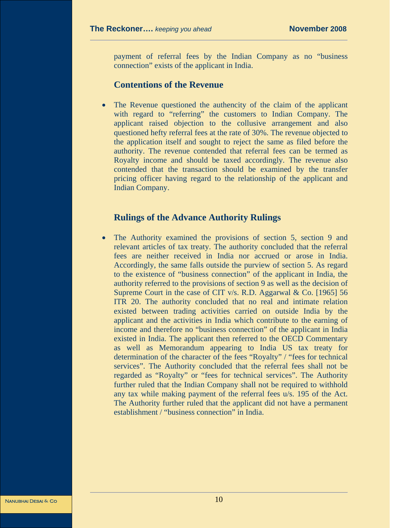payment of referral fees by the Indian Company as no "business connection" exists of the applicant in India.

#### **Contentions of the Revenue**

• The Revenue questioned the authencity of the claim of the applicant with regard to "referring" the customers to Indian Company. The applicant raised objection to the collusive arrangement and also questioned hefty referral fees at the rate of 30%. The revenue objected to the application itself and sought to reject the same as filed before the authority. The revenue contended that referral fees can be termed as Royalty income and should be taxed accordingly. The revenue also contended that the transaction should be examined by the transfer pricing officer having regard to the relationship of the applicant and Indian Company.

#### **Rulings of the Advance Authority Rulings**

The Authority examined the provisions of section 5, section 9 and relevant articles of tax treaty. The authority concluded that the referral fees are neither received in India nor accrued or arose in India. Accordingly, the same falls outside the purview of section 5. As regard to the existence of "business connection" of the applicant in India, the authority referred to the provisions of section 9 as well as the decision of Supreme Court in the case of CIT v/s. R.D. Aggarwal & Co. [1965] 56 ITR 20. The authority concluded that no real and intimate relation existed between trading activities carried on outside India by the applicant and the activities in India which contribute to the earning of income and therefore no "business connection" of the applicant in India existed in India. The applicant then referred to the OECD Commentary as well as Memorandum appearing to India US tax treaty for determination of the character of the fees "Royalty" / "fees for technical services". The Authority concluded that the referral fees shall not be regarded as "Royalty" or "fees for technical services". The Authority further ruled that the Indian Company shall not be required to withhold any tax while making payment of the referral fees u/s. 195 of the Act. The Authority further ruled that the applicant did not have a permanent establishment / "business connection" in India.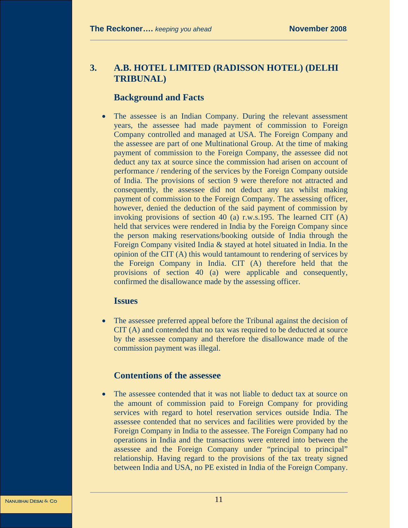# **3. A.B. HOTEL LIMITED (RADISSON HOTEL) (DELHI TRIBUNAL)**

# **Background and Facts**

The assessee is an Indian Company. During the relevant assessment years, the assessee had made payment of commission to Foreign Company controlled and managed at USA. The Foreign Company and the assessee are part of one Multinational Group. At the time of making payment of commission to the Foreign Company, the assessee did not deduct any tax at source since the commission had arisen on account of performance / rendering of the services by the Foreign Company outside of India. The provisions of section 9 were therefore not attracted and consequently, the assessee did not deduct any tax whilst making payment of commission to the Foreign Company. The assessing officer, however, denied the deduction of the said payment of commission by invoking provisions of section 40 (a) r.w.s.195. The learned CIT (A) held that services were rendered in India by the Foreign Company since the person making reservations/booking outside of India through the Foreign Company visited India & stayed at hotel situated in India. In the opinion of the CIT (A) this would tantamount to rendering of services by the Foreign Company in India. CIT (A) therefore held that the provisions of section 40 (a) were applicable and consequently, confirmed the disallowance made by the assessing officer.

#### **Issues**

• The assessee preferred appeal before the Tribunal against the decision of CIT (A) and contended that no tax was required to be deducted at source by the assessee company and therefore the disallowance made of the commission payment was illegal.

# **Contentions of the assessee**

• The assessee contended that it was not liable to deduct tax at source on the amount of commission paid to Foreign Company for providing services with regard to hotel reservation services outside India. The assessee contended that no services and facilities were provided by the Foreign Company in India to the assessee. The Foreign Company had no operations in India and the transactions were entered into between the assessee and the Foreign Company under "principal to principal" relationship. Having regard to the provisions of the tax treaty signed between India and USA, no PE existed in India of the Foreign Company.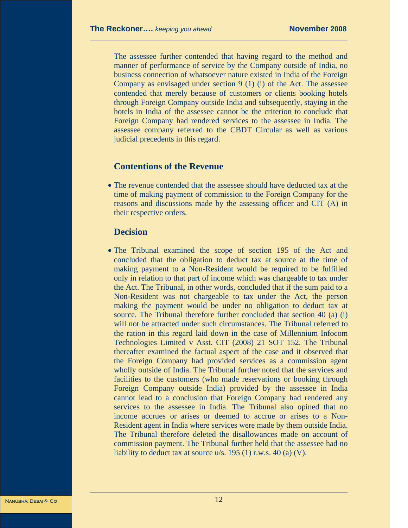The assessee further contended that having regard to the method and manner of performance of service by the Company outside of India, no business connection of whatsoever nature existed in India of the Foreign Company as envisaged under section 9 (1) (i) of the Act. The assessee contended that merely because of customers or clients booking hotels through Foreign Company outside India and subsequently, staying in the hotels in India of the assessee cannot be the criterion to conclude that Foreign Company had rendered services to the assessee in India. The assessee company referred to the CBDT Circular as well as various judicial precedents in this regard.

#### **Contentions of the Revenue**

• The revenue contended that the assessee should have deducted tax at the time of making payment of commission to the Foreign Company for the reasons and discussions made by the assessing officer and CIT (A) in their respective orders.

# **Decision**

• The Tribunal examined the scope of section 195 of the Act and concluded that the obligation to deduct tax at source at the time of making payment to a Non-Resident would be required to be fulfilled only in relation to that part of income which was chargeable to tax under the Act. The Tribunal, in other words, concluded that if the sum paid to a Non-Resident was not chargeable to tax under the Act, the person making the payment would be under no obligation to deduct tax at source. The Tribunal therefore further concluded that section 40 (a) (i) will not be attracted under such circumstances. The Tribunal referred to the ration in this regard laid down in the case of Millennium Infocom Technologies Limited v Asst. CIT (2008) 21 SOT 152. The Tribunal thereafter examined the factual aspect of the case and it observed that the Foreign Company had provided services as a commission agent wholly outside of India. The Tribunal further noted that the services and facilities to the customers (who made reservations or booking through Foreign Company outside India) provided by the assessee in India cannot lead to a conclusion that Foreign Company had rendered any services to the assessee in India. The Tribunal also opined that no income accrues or arises or deemed to accrue or arises to a Non-Resident agent in India where services were made by them outside India. The Tribunal therefore deleted the disallowances made on account of commission payment. The Tribunal further held that the assessee had no liability to deduct tax at source  $u/s$ . 195 (1) r.w.s. 40 (a) (V).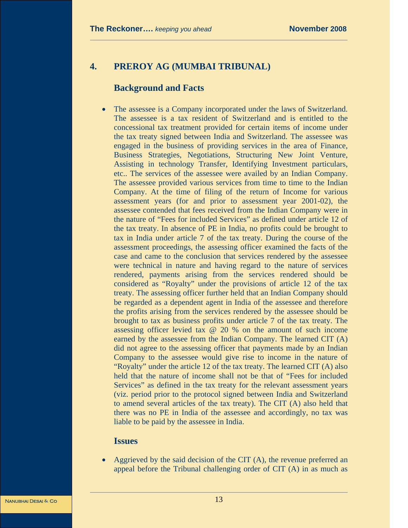# **4. PREROY AG (MUMBAI TRIBUNAL)**

#### **Background and Facts**

The assessee is a Company incorporated under the laws of Switzerland. The assessee is a tax resident of Switzerland and is entitled to the concessional tax treatment provided for certain items of income under the tax treaty signed between India and Switzerland. The assessee was engaged in the business of providing services in the area of Finance, Business Strategies, Negotiations, Structuring New Joint Venture, Assisting in technology Transfer, Identifying Investment particulars, etc.. The services of the assessee were availed by an Indian Company. The assessee provided various services from time to time to the Indian Company. At the time of filing of the return of Income for various assessment years (for and prior to assessment year 2001-02), the assessee contended that fees received from the Indian Company were in the nature of "Fees for included Services" as defined under article 12 of the tax treaty. In absence of PE in India, no profits could be brought to tax in India under article 7 of the tax treaty. During the course of the assessment proceedings, the assessing officer examined the facts of the case and came to the conclusion that services rendered by the assessee were technical in nature and having regard to the nature of services rendered, payments arising from the services rendered should be considered as "Royalty" under the provisions of article 12 of the tax treaty. The assessing officer further held that an Indian Company should be regarded as a dependent agent in India of the assessee and therefore the profits arising from the services rendered by the assessee should be brought to tax as business profits under article 7 of the tax treaty. The assessing officer levied tax @ 20 % on the amount of such income earned by the assessee from the Indian Company. The learned CIT (A) did not agree to the assessing officer that payments made by an Indian Company to the assessee would give rise to income in the nature of "Royalty" under the article 12 of the tax treaty. The learned CIT (A) also held that the nature of income shall not be that of "Fees for included Services" as defined in the tax treaty for the relevant assessment years (viz. period prior to the protocol signed between India and Switzerland to amend several articles of the tax treaty). The CIT (A) also held that there was no PE in India of the assessee and accordingly, no tax was liable to be paid by the assessee in India.

#### **Issues**

• Aggrieved by the said decision of the CIT (A), the revenue preferred an appeal before the Tribunal challenging order of CIT (A) in as much as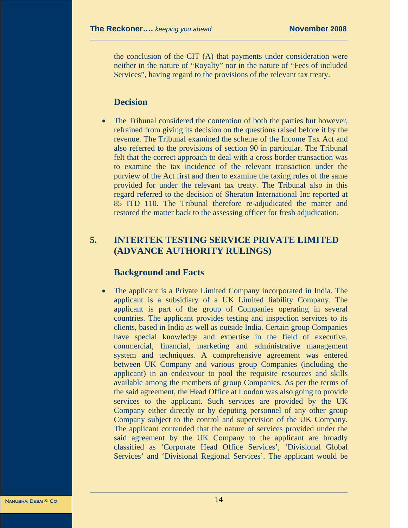the conclusion of the CIT (A) that payments under consideration were neither in the nature of "Royalty" nor in the nature of "Fees of included Services", having regard to the provisions of the relevant tax treaty.

#### **Decision**

The Tribunal considered the contention of both the parties but however, refrained from giving its decision on the questions raised before it by the revenue. The Tribunal examined the scheme of the Income Tax Act and also referred to the provisions of section 90 in particular. The Tribunal felt that the correct approach to deal with a cross border transaction was to examine the tax incidence of the relevant transaction under the purview of the Act first and then to examine the taxing rules of the same provided for under the relevant tax treaty. The Tribunal also in this regard referred to the decision of Sheraton International Inc reported at 85 ITD 110. The Tribunal therefore re-adjudicated the matter and restored the matter back to the assessing officer for fresh adjudication.

# **5. INTERTEK TESTING SERVICE PRIVATE LIMITED (ADVANCE AUTHORITY RULINGS)**

# **Background and Facts**

• The applicant is a Private Limited Company incorporated in India. The applicant is a subsidiary of a UK Limited liability Company. The applicant is part of the group of Companies operating in several countries. The applicant provides testing and inspection services to its clients, based in India as well as outside India. Certain group Companies have special knowledge and expertise in the field of executive, commercial, financial, marketing and administrative management system and techniques. A comprehensive agreement was entered between UK Company and various group Companies (including the applicant) in an endeavour to pool the requisite resources and skills available among the members of group Companies. As per the terms of the said agreement, the Head Office at London was also going to provide services to the applicant. Such services are provided by the UK Company either directly or by deputing personnel of any other group Company subject to the control and supervision of the UK Company. The applicant contended that the nature of services provided under the said agreement by the UK Company to the applicant are broadly classified as 'Corporate Head Office Services', 'Divisional Global Services' and 'Divisional Regional Services'. The applicant would be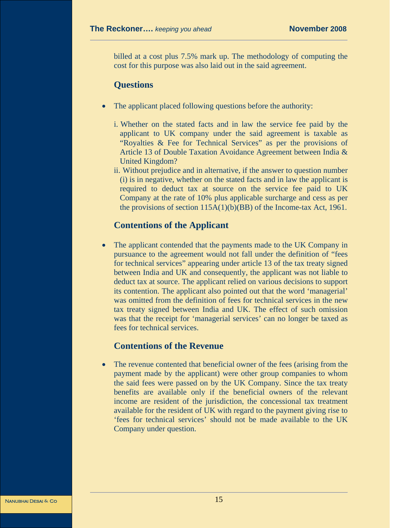billed at a cost plus 7.5% mark up. The methodology of computing the cost for this purpose was also laid out in the said agreement.

#### **Questions**

- The applicant placed following questions before the authority:
	- i. Whether on the stated facts and in law the service fee paid by the applicant to UK company under the said agreement is taxable as "Royalties & Fee for Technical Services" as per the provisions of Article 13 of Double Taxation Avoidance Agreement between India & United Kingdom?
	- ii. Without prejudice and in alternative, if the answer to question number (i) is in negative, whether on the stated facts and in law the applicant is required to deduct tax at source on the service fee paid to UK Company at the rate of 10% plus applicable surcharge and cess as per the provisions of section 115A(1)(b)(BB) of the Income-tax Act, 1961.

# **Contentions of the Applicant**

The applicant contended that the payments made to the UK Company in pursuance to the agreement would not fall under the definition of "fees for technical services" appearing under article 13 of the tax treaty signed between India and UK and consequently, the applicant was not liable to deduct tax at source. The applicant relied on various decisions to support its contention. The applicant also pointed out that the word 'managerial' was omitted from the definition of fees for technical services in the new tax treaty signed between India and UK. The effect of such omission was that the receipt for 'managerial services' can no longer be taxed as fees for technical services.

# **Contentions of the Revenue**

The revenue contented that beneficial owner of the fees (arising from the payment made by the applicant) were other group companies to whom the said fees were passed on by the UK Company. Since the tax treaty benefits are available only if the beneficial owners of the relevant income are resident of the jurisdiction, the concessional tax treatment available for the resident of UK with regard to the payment giving rise to 'fees for technical services' should not be made available to the UK Company under question.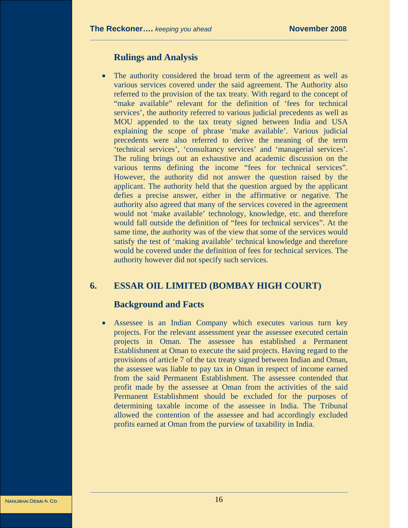# **Rulings and Analysis**

The authority considered the broad term of the agreement as well as various services covered under the said agreement. The Authority also referred to the provision of the tax treaty. With regard to the concept of "make available" relevant for the definition of 'fees for technical services', the authority referred to various judicial precedents as well as MOU appended to the tax treaty signed between India and USA explaining the scope of phrase 'make available'. Various judicial precedents were also referred to derive the meaning of the term 'technical services', 'consultancy services' and 'managerial services'. The ruling brings out an exhaustive and academic discussion on the various terms defining the income "fees for technical services". However, the authority did not answer the question raised by the applicant. The authority held that the question argued by the applicant defies a precise answer, either in the affirmative or negative. The authority also agreed that many of the services covered in the agreement would not 'make available' technology, knowledge, etc. and therefore would fall outside the definition of "fees for technical services". At the same time, the authority was of the view that some of the services would satisfy the test of 'making available' technical knowledge and therefore would be covered under the definition of fees for technical services. The authority however did not specify such services.

# **6. ESSAR OIL LIMITED (BOMBAY HIGH COURT)**

# **Background and Facts**

Assessee is an Indian Company which executes various turn key projects. For the relevant assessment year the assessee executed certain projects in Oman. The assessee has established a Permanent Establishment at Oman to execute the said projects. Having regard to the provisions of article 7 of the tax treaty signed between Indian and Oman, the assessee was liable to pay tax in Oman in respect of income earned from the said Permanent Establishment. The assessee contended that profit made by the assessee at Oman from the activities of the said Permanent Establishment should be excluded for the purposes of determining taxable income of the assessee in India. The Tribunal allowed the contention of the assessee and had accordingly excluded profits earned at Oman from the purview of taxability in India.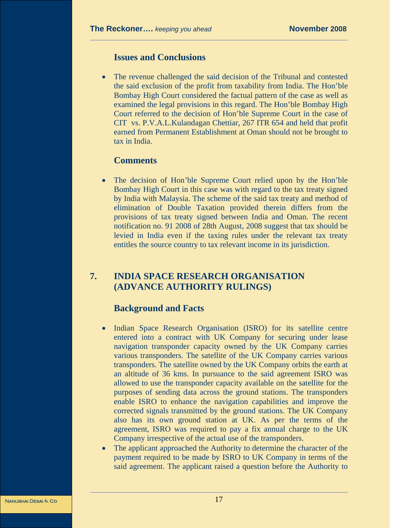#### **Issues and Conclusions**

• The revenue challenged the said decision of the Tribunal and contested the said exclusion of the profit from taxability from India. The Hon'ble Bombay High Court considered the factual pattern of the case as well as examined the legal provisions in this regard. The Hon'ble Bombay High Court referred to the decision of Hon'ble Supreme Court in the case of CIT vs. P.V.A.L.Kulandagan Chettiar, 267 ITR 654 and held that profit earned from Permanent Establishment at Oman should not be brought to tax in India.

# **Comments**

The decision of Hon'ble Supreme Court relied upon by the Hon'ble Bombay High Court in this case was with regard to the tax treaty signed by India with Malaysia. The scheme of the said tax treaty and method of elimination of Double Taxation provided therein differs from the provisions of tax treaty signed between India and Oman. The recent notification no. 91 2008 of 28th August, 2008 suggest that tax should be levied in India even if the taxing rules under the relevant tax treaty entitles the source country to tax relevant income in its jurisdiction.

# **7. INDIA SPACE RESEARCH ORGANISATION (ADVANCE AUTHORITY RULINGS)**

# **Background and Facts**

- Indian Space Research Organisation (ISRO) for its satellite centre entered into a contract with UK Company for securing under lease navigation transponder capacity owned by the UK Company carries various transponders. The satellite of the UK Company carries various transponders. The satellite owned by the UK Company orbits the earth at an altitude of 36 kms. In pursuance to the said agreement ISRO was allowed to use the transponder capacity available on the satellite for the purposes of sending data across the ground stations. The transponders enable ISRO to enhance the navigation capabilities and improve the corrected signals transmitted by the ground stations. The UK Company also has its own ground station at UK. As per the terms of the agreement, ISRO was required to pay a fix annual charge to the UK Company irrespective of the actual use of the transponders.
- The applicant approached the Authority to determine the character of the payment required to be made by ISRO to UK Company in terms of the said agreement. The applicant raised a question before the Authority to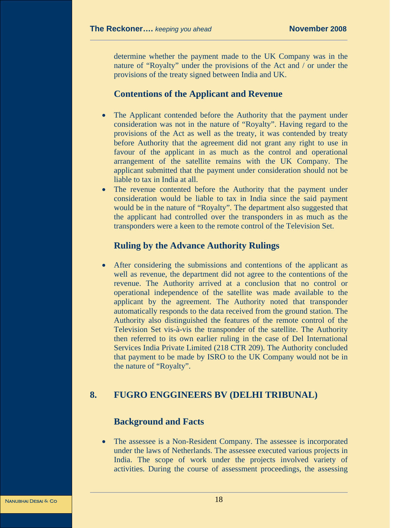determine whether the payment made to the UK Company was in the nature of "Royalty" under the provisions of the Act and / or under the provisions of the treaty signed between India and UK.

# **Contentions of the Applicant and Revenue**

- The Applicant contended before the Authority that the payment under consideration was not in the nature of "Royalty". Having regard to the provisions of the Act as well as the treaty, it was contended by treaty before Authority that the agreement did not grant any right to use in favour of the applicant in as much as the control and operational arrangement of the satellite remains with the UK Company. The applicant submitted that the payment under consideration should not be liable to tax in India at all.
- The revenue contented before the Authority that the payment under consideration would be liable to tax in India since the said payment would be in the nature of "Royalty". The department also suggested that the applicant had controlled over the transponders in as much as the transponders were a keen to the remote control of the Television Set.

# **Ruling by the Advance Authority Rulings**

• After considering the submissions and contentions of the applicant as well as revenue, the department did not agree to the contentions of the revenue. The Authority arrived at a conclusion that no control or operational independence of the satellite was made available to the applicant by the agreement. The Authority noted that transponder automatically responds to the data received from the ground station. The Authority also distinguished the features of the remote control of the Television Set vis-à-vis the transponder of the satellite. The Authority then referred to its own earlier ruling in the case of Del International Services India Private Limited (218 CTR 209). The Authority concluded that payment to be made by ISRO to the UK Company would not be in the nature of "Royalty".

# **8. FUGRO ENGGINEERS BV (DELHI TRIBUNAL)**

# **Background and Facts**

The assessee is a Non-Resident Company. The assessee is incorporated under the laws of Netherlands. The assessee executed various projects in India. The scope of work under the projects involved variety of activities. During the course of assessment proceedings, the assessing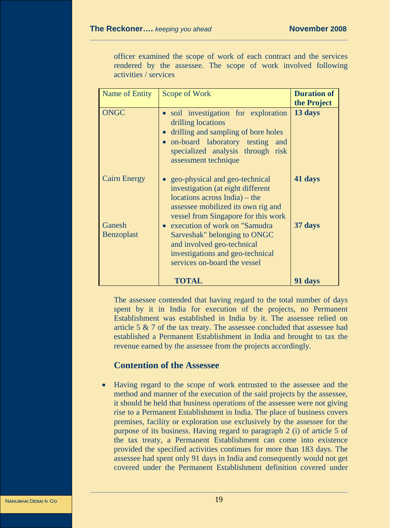officer examined the scope of work of each contract and the services rendered by the assessee. The scope of work involved following activities / services

| <b>ONGC</b><br>· soil investigation for exploration<br>drilling locations<br>drilling and sampling of bore holes<br>• on-board laboratory testing<br>and<br>specialized analysis through risk<br>assessment technique<br><b>Cairn Energy</b><br>geo-physical and geo-technical<br>investigation (at eight different<br>$locations$ across India) – the<br>assessee mobilized its own rig and<br>vessel from Singapore for this work<br>Ganesh<br>execution of work on "Samudra" | <b>Duration of</b><br>the Project |
|---------------------------------------------------------------------------------------------------------------------------------------------------------------------------------------------------------------------------------------------------------------------------------------------------------------------------------------------------------------------------------------------------------------------------------------------------------------------------------|-----------------------------------|
|                                                                                                                                                                                                                                                                                                                                                                                                                                                                                 | 13 days                           |
|                                                                                                                                                                                                                                                                                                                                                                                                                                                                                 | 41 days                           |
| <b>Benzoplast</b><br>Sarveshak" belonging to ONGC<br>and involved geo-technical<br>investigations and geo-technical<br>services on-board the vessel<br>TOTAL                                                                                                                                                                                                                                                                                                                    | 37 days<br>91 days                |

The assessee contended that having regard to the total number of days spent by it in India for execution of the projects, no Permanent Establishment was established in India by it. The assessee relied on article 5 & 7 of the tax treaty. The assessee concluded that assessee had established a Permanent Establishment in India and brought to tax the revenue earned by the assessee from the projects accordingly.

#### **Contention of the Assessee**

• Having regard to the scope of work entrusted to the assessee and the method and manner of the execution of the said projects by the assessee, it should be held that business operations of the assessee were not giving rise to a Permanent Establishment in India. The place of business covers premises, facility or exploration use exclusively by the assessee for the purpose of its business. Having regard to paragraph 2 (i) of article 5 of the tax treaty, a Permanent Establishment can come into existence provided the specified activities continues for more than 183 days. The assessee had spent only 91 days in India and consequently would not get covered under the Permanent Establishment definition covered under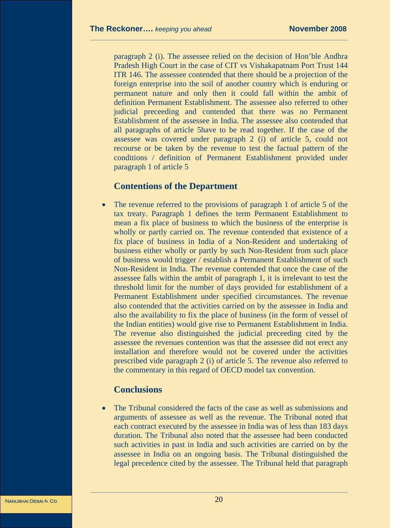paragraph 2 (i). The assessee relied on the decision of Hon'ble Andhra Pradesh High Court in the case of CIT vs Vishakapatnam Port Trust 144 ITR 146. The assessee contended that there should be a projection of the foreign enterprise into the soil of another country which is enduring or permanent nature and only then it could fall within the ambit of definition Permanent Establishment. The assessee also referred to other judicial preceeding and contended that there was no Permanent Establishment of the assessee in India. The assessee also contended that all paragraphs of article 5have to be read together. If the case of the assessee was covered under paragraph 2 (i) of article 5, could not recourse or be taken by the revenue to test the factual pattern of the conditions / definition of Permanent Establishment provided under paragraph 1 of article 5

#### **Contentions of the Department**

The revenue referred to the provisions of paragraph 1 of article 5 of the tax treaty. Paragraph 1 defines the term Permanent Establishment to mean a fix place of business to which the business of the enterprise is wholly or partly carried on. The revenue contended that existence of a fix place of business in India of a Non-Resident and undertaking of business either wholly or partly by such Non-Resident from such place of business would trigger / establish a Permanent Establishment of such Non-Resident in India. The revenue contended that once the case of the assessee falls within the ambit of paragraph 1, it is irrelevant to test the threshold limit for the number of days provided for establishment of a Permanent Establishment under specified circumstances. The revenue also contended that the activities carried on by the assessee in India and also the availability to fix the place of business (in the form of vessel of the Indian entities) would give rise to Permanent Establishment in India. The revenue also distinguished the judicial preceeding cited by the assessee the revenues contention was that the assessee did not erect any installation and therefore would not be covered under the activities prescribed vide paragraph 2 (i) of article 5. The revenue also referred to the commentary in this regard of OECD model tax convention.

# **Conclusions**

The Tribunal considered the facts of the case as well as submissions and arguments of assessee as well as the revenue. The Tribunal noted that each contract executed by the assessee in India was of less than 183 days duration. The Tribunal also noted that the assessee had been conducted such activities in past in India and such activities are carried on by the assessee in India on an ongoing basis. The Tribunal distinguished the legal precedence cited by the assessee. The Tribunal held that paragraph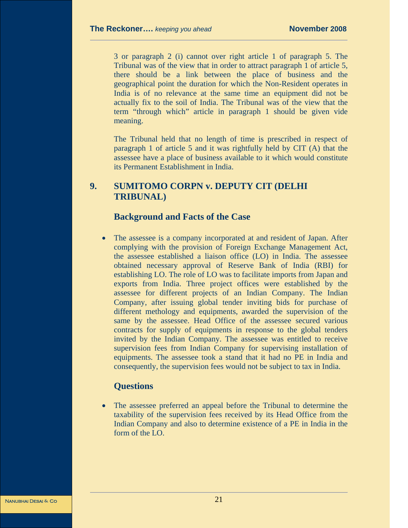3 or paragraph 2 (i) cannot over right article 1 of paragraph 5. The Tribunal was of the view that in order to attract paragraph 1 of article 5, there should be a link between the place of business and the geographical point the duration for which the Non-Resident operates in India is of no relevance at the same time an equipment did not be actually fix to the soil of India. The Tribunal was of the view that the term "through which" article in paragraph 1 should be given vide meaning.

The Tribunal held that no length of time is prescribed in respect of paragraph 1 of article 5 and it was rightfully held by CIT (A) that the assessee have a place of business available to it which would constitute its Permanent Establishment in India.

# **9. SUMITOMO CORPN v. DEPUTY CIT (DELHI TRIBUNAL)**

# **Background and Facts of the Case**

The assessee is a company incorporated at and resident of Japan. After complying with the provision of Foreign Exchange Management Act, the assessee established a liaison office (LO) in India. The assessee obtained necessary approval of Reserve Bank of India (RBI) for establishing LO. The role of LO was to facilitate imports from Japan and exports from India. Three project offices were established by the assessee for different projects of an Indian Company. The Indian Company, after issuing global tender inviting bids for purchase of different methology and equipments, awarded the supervision of the same by the assessee. Head Office of the assessee secured various contracts for supply of equipments in response to the global tenders invited by the Indian Company. The assessee was entitled to receive supervision fees from Indian Company for supervising installation of equipments. The assessee took a stand that it had no PE in India and consequently, the supervision fees would not be subject to tax in India.

# **Questions**

• The assessee preferred an appeal before the Tribunal to determine the taxability of the supervision fees received by its Head Office from the Indian Company and also to determine existence of a PE in India in the form of the LO.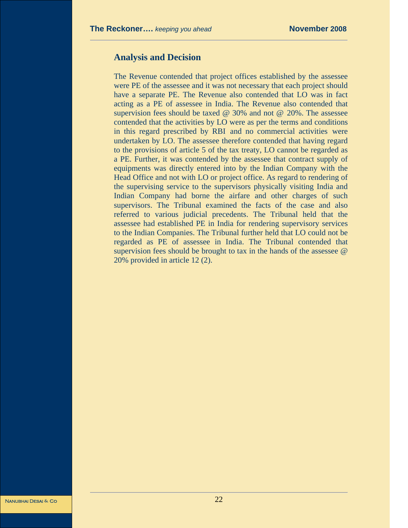#### **Analysis and Decision**

The Revenue contended that project offices established by the assessee were PE of the assessee and it was not necessary that each project should have a separate PE. The Revenue also contended that LO was in fact acting as a PE of assessee in India. The Revenue also contended that supervision fees should be taxed @ 30% and not @ 20%. The assessee contended that the activities by LO were as per the terms and conditions in this regard prescribed by RBI and no commercial activities were undertaken by LO. The assessee therefore contended that having regard to the provisions of article 5 of the tax treaty, LO cannot be regarded as a PE. Further, it was contended by the assessee that contract supply of equipments was directly entered into by the Indian Company with the Head Office and not with LO or project office. As regard to rendering of the supervising service to the supervisors physically visiting India and Indian Company had borne the airfare and other charges of such supervisors. The Tribunal examined the facts of the case and also referred to various judicial precedents. The Tribunal held that the assessee had established PE in India for rendering supervisory services to the Indian Companies. The Tribunal further held that LO could not be regarded as PE of assessee in India. The Tribunal contended that supervision fees should be brought to tax in the hands of the assessee  $\omega$ 20% provided in article 12 (2).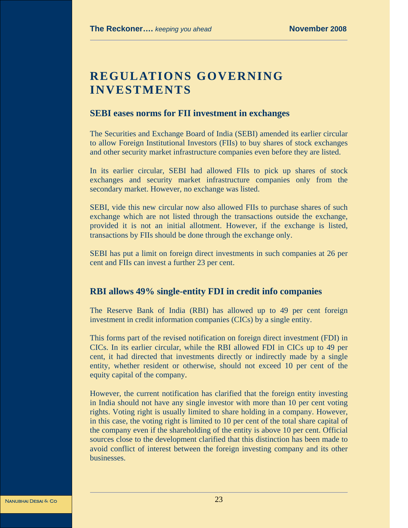# **REGULATIONS GOVERNING INVESTMENTS**

#### **SEBI eases norms for FII investment in exchanges**

The Securities and Exchange Board of India (SEBI) amended its earlier circular to allow Foreign Institutional Investors (FIIs) to buy shares of stock exchanges and other security market infrastructure companies even before they are listed.

In its earlier circular, SEBI had allowed FIIs to pick up shares of stock exchanges and security market infrastructure companies only from the secondary market. However, no exchange was listed.

SEBI, vide this new circular now also allowed FIIs to purchase shares of such exchange which are not listed through the transactions outside the exchange, provided it is not an initial allotment. However, if the exchange is listed, transactions by FIIs should be done through the exchange only.

SEBI has put a limit on foreign direct investments in such companies at 26 per cent and FIIs can invest a further 23 per cent.

# **RBI allows 49% single-entity FDI in credit info companies**

The Reserve Bank of India (RBI) has allowed up to 49 per cent foreign investment in credit information companies (CICs) by a single entity.

This forms part of the revised notification on foreign direct investment (FDI) in CICs. In its earlier circular, while the RBI allowed FDI in CICs up to 49 per cent, it had directed that investments directly or indirectly made by a single entity, whether resident or otherwise, should not exceed 10 per cent of the equity capital of the company.

However, the current notification has clarified that the foreign entity investing in India should not have any single investor with more than 10 per cent voting rights. Voting right is usually limited to share holding in a company. However, in this case, the voting right is limited to 10 per cent of the total share capital of the company even if the shareholding of the entity is above 10 per cent. Official sources close to the development clarified that this distinction has been made to avoid conflict of interest between the foreign investing company and its other businesses.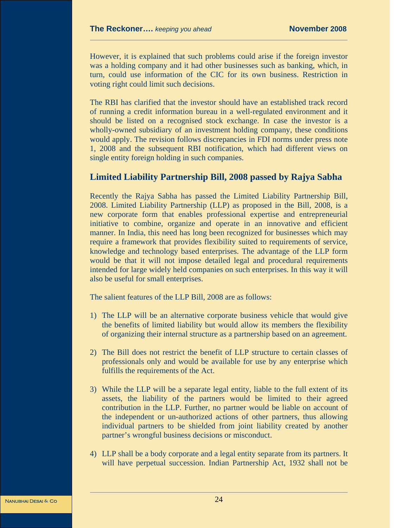However, it is explained that such problems could arise if the foreign investor was a holding company and it had other businesses such as banking, which, in turn, could use information of the CIC for its own business. Restriction in voting right could limit such decisions.

The RBI has clarified that the investor should have an established track record of running a credit information bureau in a well-regulated environment and it should be listed on a recognised stock exchange. In case the investor is a wholly-owned subsidiary of an investment holding company, these conditions would apply. The revision follows discrepancies in FDI norms under press note 1, 2008 and the subsequent RBI notification, which had different views on single entity foreign holding in such companies.

#### **Limited Liability Partnership Bill, 2008 passed by Rajya Sabha**

Recently the Rajya Sabha has passed the Limited Liability Partnership Bill, 2008. Limited Liability Partnership (LLP) as proposed in the Bill, 2008, is a new corporate form that enables professional expertise and entrepreneurial initiative to combine, organize and operate in an innovative and efficient manner. In India, this need has long been recognized for businesses which may require a framework that provides flexibility suited to requirements of service, knowledge and technology based enterprises. The advantage of the LLP form would be that it will not impose detailed legal and procedural requirements intended for large widely held companies on such enterprises. In this way it will also be useful for small enterprises.

The salient features of the LLP Bill, 2008 are as follows:

- 1) The LLP will be an alternative corporate business vehicle that would give the benefits of limited liability but would allow its members the flexibility of organizing their internal structure as a partnership based on an agreement.
- 2) The Bill does not restrict the benefit of LLP structure to certain classes of professionals only and would be available for use by any enterprise which fulfills the requirements of the Act.
- 3) While the LLP will be a separate legal entity, liable to the full extent of its assets, the liability of the partners would be limited to their agreed contribution in the LLP. Further, no partner would be liable on account of the independent or un-authorized actions of other partners, thus allowing individual partners to be shielded from joint liability created by another partner's wrongful business decisions or misconduct.
- 4) LLP shall be a body corporate and a legal entity separate from its partners. It will have perpetual succession. Indian Partnership Act, 1932 shall not be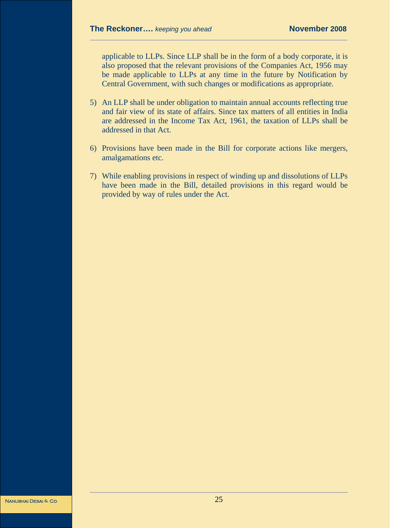applicable to LLPs. Since LLP shall be in the form of a body corporate, it is also proposed that the relevant provisions of the Companies Act, 1956 may be made applicable to LLPs at any time in the future by Notification by Central Government, with such changes or modifications as appropriate.

- 5) An LLP shall be under obligation to maintain annual accounts reflecting true and fair view of its state of affairs. Since tax matters of all entities in India are addressed in the Income Tax Act, 1961, the taxation of LLPs shall be addressed in that Act.
- 6) Provisions have been made in the Bill for corporate actions like mergers, amalgamations etc.
- 7) While enabling provisions in respect of winding up and dissolutions of LLPs have been made in the Bill, detailed provisions in this regard would be provided by way of rules under the Act.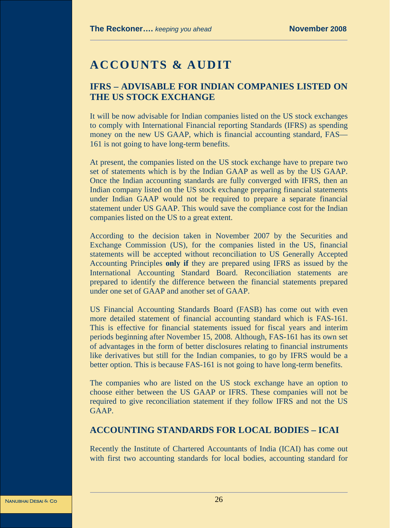# **ACCOUNTS & AUDIT**

# **IFRS – ADVISABLE FOR INDIAN COMPANIES LISTED ON THE US STOCK EXCHANGE**

It will be now advisable for Indian companies listed on the US stock exchanges to comply with International Financial reporting Standards (IFRS) as spending money on the new US GAAP, which is financial accounting standard, FAS— 161 is not going to have long-term benefits.

At present, the companies listed on the US stock exchange have to prepare two set of statements which is by the Indian GAAP as well as by the US GAAP. Once the Indian accounting standards are fully converged with IFRS, then an Indian company listed on the US stock exchange preparing financial statements under Indian GAAP would not be required to prepare a separate financial statement under US GAAP. This would save the compliance cost for the Indian companies listed on the US to a great extent.

According to the decision taken in November 2007 by the Securities and Exchange Commission (US), for the companies listed in the US, financial statements will be accepted without reconciliation to US Generally Accepted Accounting Principles **only if** they are prepared using IFRS as issued by the International Accounting Standard Board. Reconciliation statements are prepared to identify the difference between the financial statements prepared under one set of GAAP and another set of GAAP.

US Financial Accounting Standards Board (FASB) has come out with even more detailed statement of financial accounting standard which is FAS-161. This is effective for financial statements issued for fiscal years and interim periods beginning after November 15, 2008. Although, FAS-161 has its own set of advantages in the form of better disclosures relating to financial instruments like derivatives but still for the Indian companies, to go by IFRS would be a better option. This is because FAS-161 is not going to have long-term benefits.

The companies who are listed on the US stock exchange have an option to choose either between the US GAAP or IFRS. These companies will not be required to give reconciliation statement if they follow IFRS and not the US GAAP.

#### **ACCOUNTING STANDARDS FOR LOCAL BODIES – ICAI**

Recently the Institute of Chartered Accountants of India (ICAI) has come out with first two accounting standards for local bodies, accounting standard for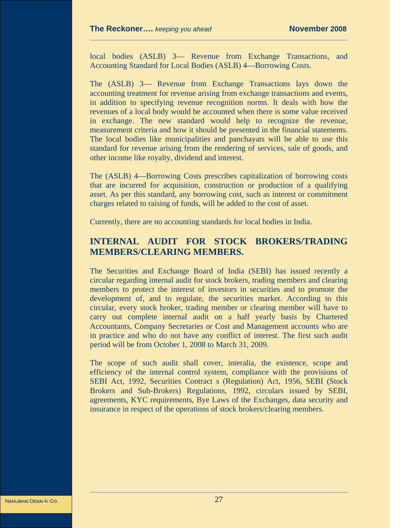local bodies (ASLB) 3— Revenue from Exchange Transactions, and Accounting Standard for Local Bodies (ASLB) 4—Borrowing Costs.

The (ASLB) 3— Revenue from Exchange Transactions lays down the accounting treatment for revenue arising from exchange transactions and events, in addition to specifying revenue recognition norms. It deals with how the revenues of a local body would be accounted when there is some value received in exchange. The new standard would help to recognize the revenue, measurement criteria and how it should be presented in the financial statements. The local bodies like municipalities and panchayats will be able to use this standard for revenue arising from the rendering of services, sale of goods, and other income like royalty, dividend and interest.

The (ASLB) 4—Borrowing Costs prescribes capitalization of borrowing costs that are incurred for acquisition, construction or production of a qualifying asset. As per this standard, any borrowing cost, such as interest or commitment charges related to raising of funds, will be added to the cost of asset.

Currently, there are no accounting standards for local bodies in India.

# **INTERNAL AUDIT FOR STOCK BROKERS/TRADING MEMBERS/CLEARING MEMBERS.**

The Securities and Exchange Board of India (SEBI) has issued recently a circular regarding internal audit for stock brokers, trading members and clearing members to protect the interest of investors in securities and to promote the development of, and to regulate, the securities market. According to this circular, every stock broker, trading member or clearing member will have to carry out complete internal audit on a half yearly basis by Chartered Accountants, Company Secretaries or Cost and Management accounts who are in practice and who do not have any conflict of interest. The first such audit period will be from October 1, 2008 to March 31, 2009.

The scope of such audit shall cover, interalia, the existence, scope and efficiency of the internal control system, compliance with the provisions of SEBI Act, 1992, Securities Contract s (Regulation) Act, 1956, SEBI (Stock Brokers and Sub-Brokers) Regulations, 1992, circulars issued by SEBI, agreements, KYC requirements, Bye Laws of the Exchanges, data security and insurance in respect of the operations of stock brokers/clearing members.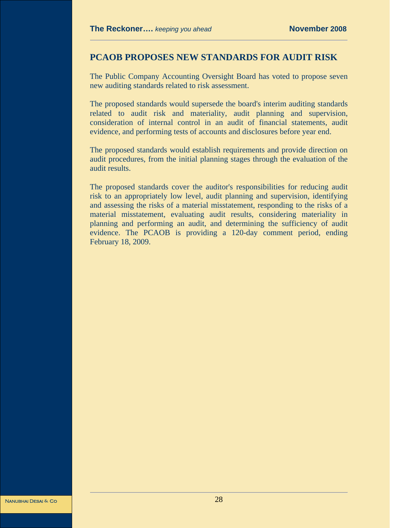#### **PCAOB PROPOSES NEW STANDARDS FOR AUDIT RISK**

The Public Company Accounting Oversight Board has voted to propose seven new auditing standards related to risk assessment.

The proposed standards would supersede the board's interim auditing standards related to audit risk and materiality, audit planning and supervision, consideration of internal control in an audit of financial statements, audit evidence, and performing tests of accounts and disclosures before year end.

The proposed standards would establish requirements and provide direction on audit procedures, from the initial planning stages through the evaluation of the audit results.

The proposed standards cover the auditor's responsibilities for reducing audit risk to an appropriately low level, audit planning and supervision, identifying and assessing the risks of a material misstatement, responding to the risks of a material misstatement, evaluating audit results, considering materiality in planning and performing an audit, and determining the sufficiency of audit evidence. The PCAOB is providing a 120-day comment period, ending February 18, 2009.